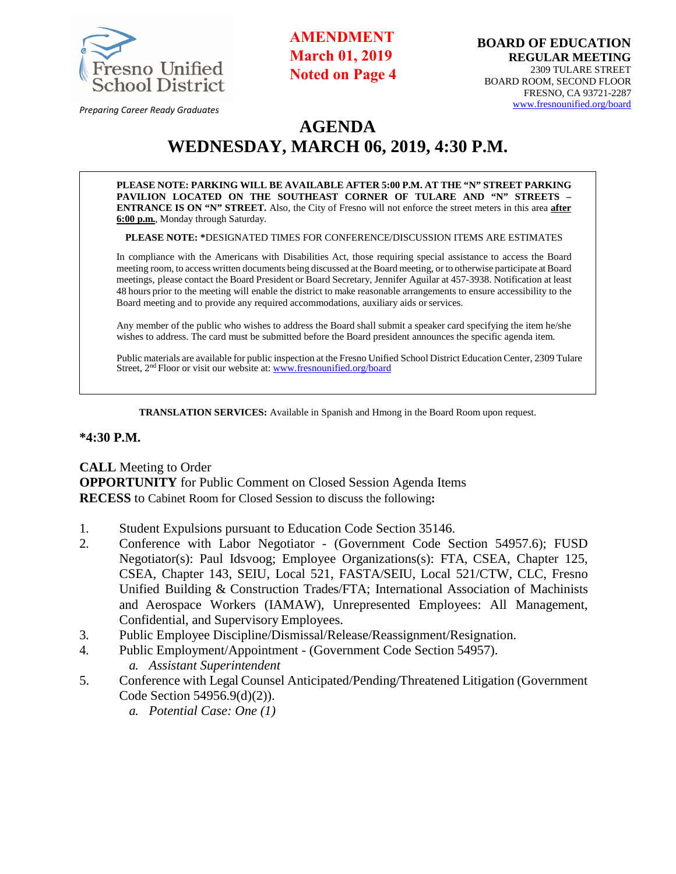

**AMENDMENT March 01, 2019 Noted on Page 4**

*Preparing Career Ready Graduates*

# **AGENDA WEDNESDAY, MARCH 06, 2019, 4:30 P.M.**

**PLEASE NOTE: PARKING WILL BE AVAILABLE AFTER 5:00 P.M. AT THE "N" STREET PARKING PAVILION LOCATED ON THE SOUTHEAST CORNER OF TULARE AND "N" STREETS – ENTRANCE IS ON "N" STREET.** Also, the City of Fresno will not enforce the street meters in this area **after 6:00 p.m.**, Monday through Saturday.

**PLEASE NOTE: \***DESIGNATED TIMES FOR CONFERENCE/DISCUSSION ITEMS ARE ESTIMATES

In compliance with the Americans with Disabilities Act, those requiring special assistance to access the Board meeting room, to access written documents being discussed at the Board meeting, or to otherwise participate at Board meetings, please contact the Board President or Board Secretary, Jennifer Aguilar at 457-3938. Notification at least 48 hours prior to the meeting will enable the district to make reasonable arrangements to ensure accessibility to the Board meeting and to provide any required accommodations, auxiliary aids orservices.

Any member of the public who wishes to address the Board shall submit a speaker card specifying the item he/she wishes to address. The card must be submitted before the Board president announces the specific agenda item.

Public materials are available for public inspection at the Fresno Unified School District Education Center, 2309 Tulare Street, 2<sup>nd</sup> Floor or visit our website at: [www.fresnounified.org/board](http://www.fresnounified.org/board)

**TRANSLATION SERVICES:** Available in Spanish and Hmong in the Board Room upon request.

#### **\*4:30 P.M.**

**CALL** Meeting to Order **OPPORTUNITY** for Public Comment on Closed Session Agenda Items **RECESS** to Cabinet Room for Closed Session to discuss the following**:** 

- 1. Student Expulsions pursuant to Education Code Section 35146.
- 2. Conference with Labor Negotiator (Government Code Section 54957.6); FUSD Negotiator(s): Paul Idsvoog; Employee Organizations(s): FTA, CSEA, Chapter 125, CSEA, Chapter 143, SEIU, Local 521, FASTA/SEIU, Local 521/CTW, CLC, Fresno Unified Building & Construction Trades/FTA; International Association of Machinists and Aerospace Workers (IAMAW), Unrepresented Employees: All Management, Confidential, and Supervisory Employees.
- 3. Public Employee Discipline/Dismissal/Release/Reassignment/Resignation.
- 4. Public Employment/Appointment (Government Code Section 54957). *a. Assistant Superintendent*
- 5. Conference with Legal Counsel Anticipated/Pending/Threatened Litigation (Government Code Section 54956.9(d)(2)).
	- *a. Potential Case: One (1)*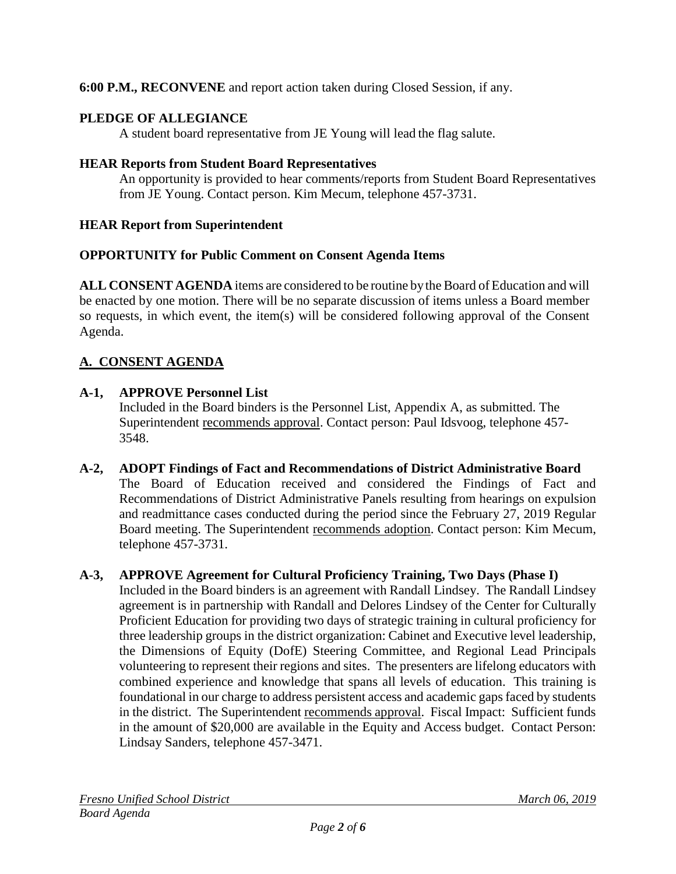**6:00 P.M., RECONVENE** and report action taken during Closed Session, if any.

### **PLEDGE OF ALLEGIANCE**

A student board representative from JE Young will lead the flag salute.

### **HEAR Reports from Student Board Representatives**

An opportunity is provided to hear comments/reports from Student Board Representatives from JE Young. Contact person. Kim Mecum, telephone 457-3731.

### **HEAR Report from Superintendent**

### **OPPORTUNITY for Public Comment on Consent Agenda Items**

**ALL CONSENT AGENDA** items are considered to be routine by the Board of Education and will be enacted by one motion. There will be no separate discussion of items unless a Board member so requests, in which event, the item(s) will be considered following approval of the Consent Agenda.

## **A. CONSENT AGENDA**

### **A-1, APPROVE Personnel List**

Included in the Board binders is the Personnel List, Appendix A, as submitted. The Superintendent recommends approval. Contact person: Paul Idsvoog, telephone 457-3548.

**A-2, ADOPT Findings of Fact and Recommendations of District Administrative Board** The Board of Education received and considered the Findings of Fact and Recommendations of District Administrative Panels resulting from hearings on expulsion and readmittance cases conducted during the period since the February 27, 2019 Regular Board meeting. The Superintendent recommends adoption. Contact person: Kim Mecum, telephone 457-3731.

### **A-3, APPROVE Agreement for Cultural Proficiency Training, Two Days (Phase I)**

Included in the Board binders is an agreement with Randall Lindsey. The Randall Lindsey agreement is in partnership with Randall and Delores Lindsey of the Center for Culturally Proficient Education for providing two days of strategic training in cultural proficiency for three leadership groups in the district organization: Cabinet and Executive level leadership, the Dimensions of Equity (DofE) Steering Committee, and Regional Lead Principals volunteering to represent their regions and sites. The presenters are lifelong educators with combined experience and knowledge that spans all levels of education. This training is foundational in our charge to address persistent access and academic gaps faced by students in the district. The Superintendent recommends approval. Fiscal Impact: Sufficient funds in the amount of \$20,000 are available in the Equity and Access budget. Contact Person: Lindsay Sanders, telephone 457-3471.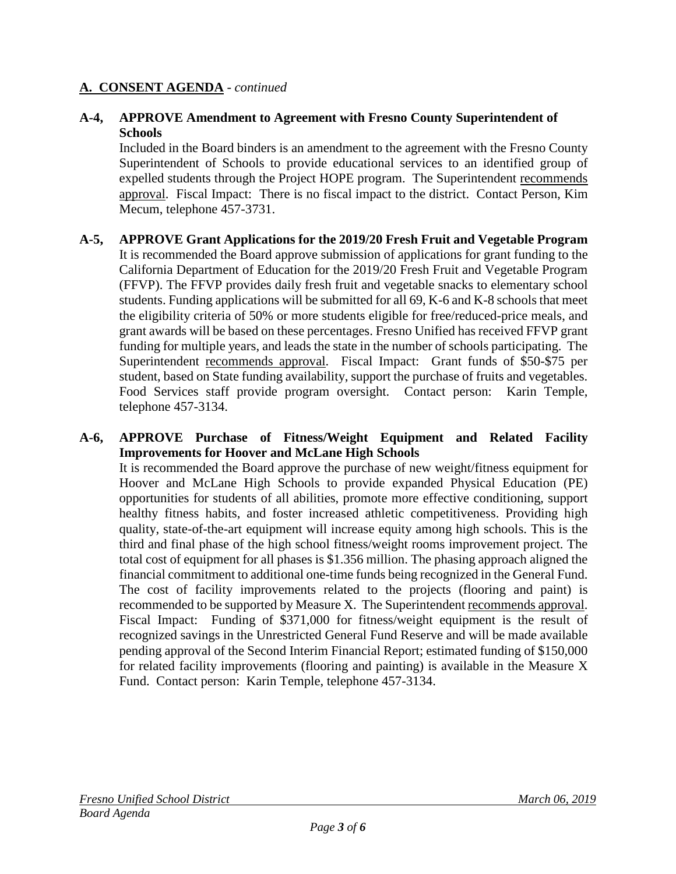#### **A. CONSENT AGENDA** - *continued*

#### **A-4, APPROVE Amendment to Agreement with Fresno County Superintendent of Schools**

Included in the Board binders is an amendment to the agreement with the Fresno County Superintendent of Schools to provide educational services to an identified group of expelled students through the Project HOPE program. The Superintendent recommends approval. Fiscal Impact: There is no fiscal impact to the district. Contact Person, Kim Mecum, telephone 457-3731.

#### **A-5, APPROVE Grant Applications for the 2019/20 Fresh Fruit and Vegetable Program** It is recommended the Board approve submission of applications for grant funding to the California Department of Education for the 2019/20 Fresh Fruit and Vegetable Program (FFVP). The FFVP provides daily fresh fruit and vegetable snacks to elementary school students. Funding applications will be submitted for all 69, K-6 and K-8 schools that meet the eligibility criteria of 50% or more students eligible for free/reduced-price meals, and grant awards will be based on these percentages. Fresno Unified has received FFVP grant funding for multiple years, and leads the state in the number of schools participating. The Superintendent recommends approval. Fiscal Impact: Grant funds of \$50-\$75 per student, based on State funding availability, support the purchase of fruits and vegetables. Food Services staff provide program oversight. Contact person: Karin Temple, telephone 457-3134.

#### **A-6, APPROVE Purchase of Fitness/Weight Equipment and Related Facility Improvements for Hoover and McLane High Schools** It is recommended the Board approve the purchase of new weight/fitness equipment for Hoover and McLane High Schools to provide expanded Physical Education (PE) opportunities for students of all abilities, promote more effective conditioning, support healthy fitness habits, and foster increased athletic competitiveness. Providing high quality, state-of-the-art equipment will increase equity among high schools. This is the third and final phase of the high school fitness/weight rooms improvement project. The total cost of equipment for all phases is \$1.356 million. The phasing approach aligned the financial commitment to additional one-time funds being recognized in the General Fund. The cost of facility improvements related to the projects (flooring and paint) is recommended to be supported by Measure X. The Superintendent recommends approval. Fiscal Impact: Funding of \$371,000 for fitness/weight equipment is the result of recognized savings in the Unrestricted General Fund Reserve and will be made available pending approval of the Second Interim Financial Report; estimated funding of \$150,000 for related facility improvements (flooring and painting) is available in the Measure X Fund. Contact person: Karin Temple, telephone 457-3134.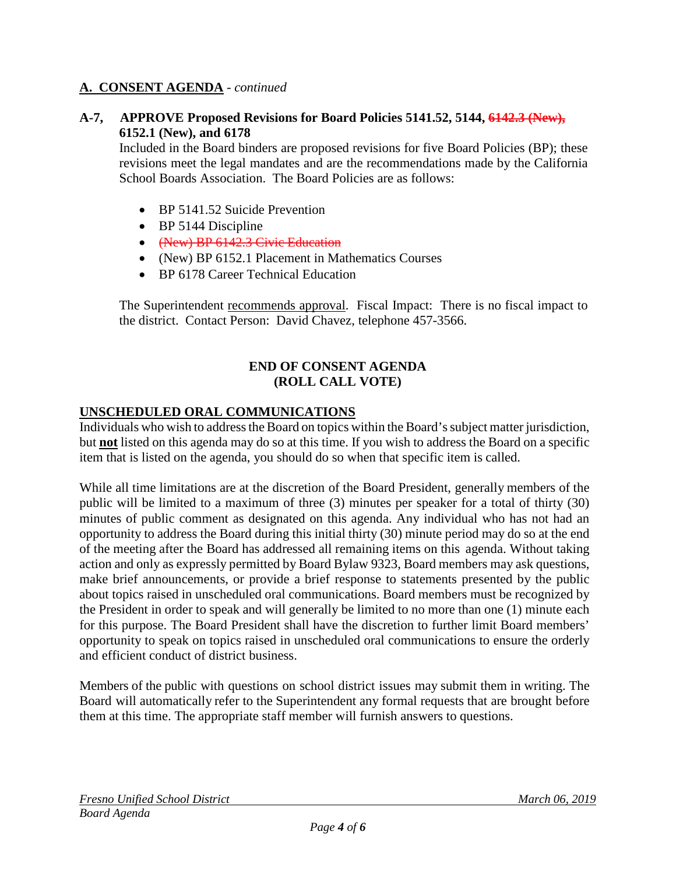### **A. CONSENT AGENDA** - *continued*

#### **A-7, APPROVE Proposed Revisions for Board Policies 5141.52, 5144, 6142.3 (New), 6152.1 (New), and 6178**

Included in the Board binders are proposed revisions for five Board Policies (BP); these revisions meet the legal mandates and are the recommendations made by the California School Boards Association. The Board Policies are as follows:

- BP 5141.52 Suicide Prevention
- BP 5144 Discipline
- (New) BP 6142.3 Civic Education
- (New) BP 6152.1 Placement in Mathematics Courses
- BP 6178 Career Technical Education

The Superintendent recommends approval. Fiscal Impact: There is no fiscal impact to the district. Contact Person: David Chavez, telephone 457-3566.

#### **END OF CONSENT AGENDA (ROLL CALL VOTE)**

#### **UNSCHEDULED ORAL COMMUNICATIONS**

Individuals who wish to address the Board on topics within the Board's subject matter jurisdiction, but **not** listed on this agenda may do so at this time. If you wish to address the Board on a specific item that is listed on the agenda, you should do so when that specific item is called.

While all time limitations are at the discretion of the Board President, generally members of the public will be limited to a maximum of three (3) minutes per speaker for a total of thirty (30) minutes of public comment as designated on this agenda. Any individual who has not had an opportunity to address the Board during this initial thirty (30) minute period may do so at the end of the meeting after the Board has addressed all remaining items on this agenda. Without taking action and only as expressly permitted by Board Bylaw 9323, Board members may ask questions, make brief announcements, or provide a brief response to statements presented by the public about topics raised in unscheduled oral communications. Board members must be recognized by the President in order to speak and will generally be limited to no more than one (1) minute each for this purpose. The Board President shall have the discretion to further limit Board members' opportunity to speak on topics raised in unscheduled oral communications to ensure the orderly and efficient conduct of district business.

Members of the public with questions on school district issues may submit them in writing. The Board will automatically refer to the Superintendent any formal requests that are brought before them at this time. The appropriate staff member will furnish answers to questions.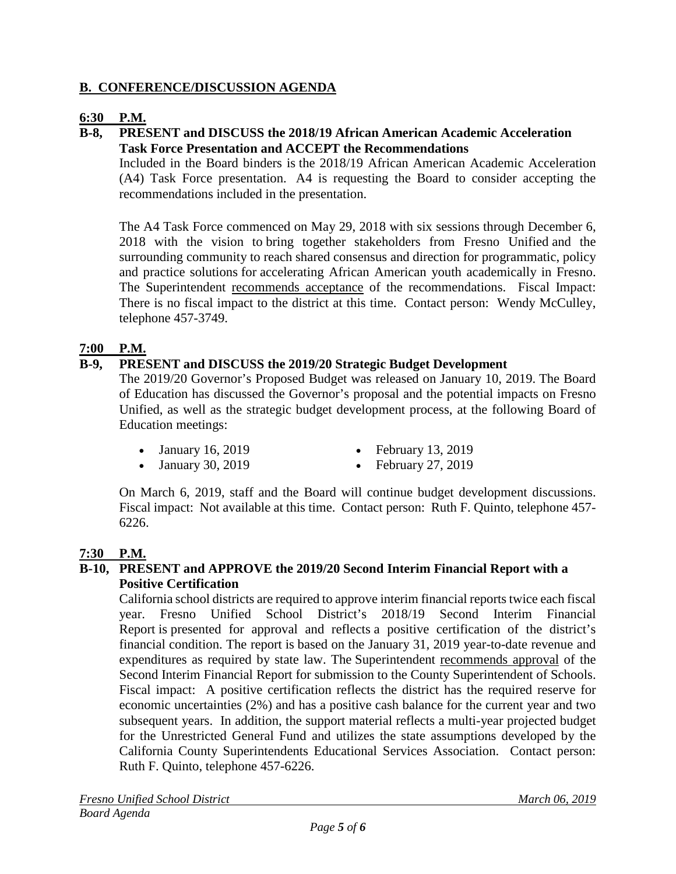### **B. CONFERENCE/DISCUSSION AGENDA**

### **6:30 P.M.**

#### **B-8, PRESENT and DISCUSS the 2018/19 African American Academic Acceleration Task Force Presentation and ACCEPT the Recommendations**

Included in the Board binders is the 2018/19 African American Academic Acceleration (A4) Task Force presentation. A4 is requesting the Board to consider accepting the recommendations included in the presentation.

The A4 Task Force commenced on May 29, 2018 with six sessions through December 6, 2018 with the vision to bring together stakeholders from Fresno Unified and the surrounding community to reach shared consensus and direction for programmatic, policy and practice solutions for accelerating African American youth academically in Fresno. The Superintendent recommends acceptance of the recommendations. Fiscal Impact: There is no fiscal impact to the district at this time. Contact person: Wendy McCulley, telephone 457-3749.

### **7:00 P.M.**

#### **B-9, PRESENT and DISCUSS the 2019/20 Strategic Budget Development**

The 2019/20 Governor's Proposed Budget was released on January 10, 2019. The Board of Education has discussed the Governor's proposal and the potential impacts on Fresno Unified, as well as the strategic budget development process, at the following Board of Education meetings:

- January 16, 2019 February 13, 2019
- 
- January 30, 2019 February 27, 2019
- 

On March 6, 2019, staff and the Board will continue budget development discussions. Fiscal impact: Not available at this time. Contact person: Ruth F. Quinto, telephone 457- 6226.

### **7:30 P.M.**

#### **B-10, PRESENT and APPROVE the 2019/20 Second Interim Financial Report with a Positive Certification**

California school districts are required to approve interim financial reports twice each fiscal year. Fresno Unified School District's 2018/19 Second Interim Financial Report is presented for approval and reflects a positive certification of the district's financial condition. The report is based on the January 31, 2019 year-to-date revenue and expenditures as required by state law. The Superintendent recommends approval of the Second Interim Financial Report for submission to the County Superintendent of Schools. Fiscal impact: A positive certification reflects the district has the required reserve for economic uncertainties (2%) and has a positive cash balance for the current year and two subsequent years. In addition, the support material reflects a multi-year projected budget for the Unrestricted General Fund and utilizes the state assumptions developed by the California County Superintendents Educational Services Association. Contact person: Ruth F. Quinto, telephone 457-6226.